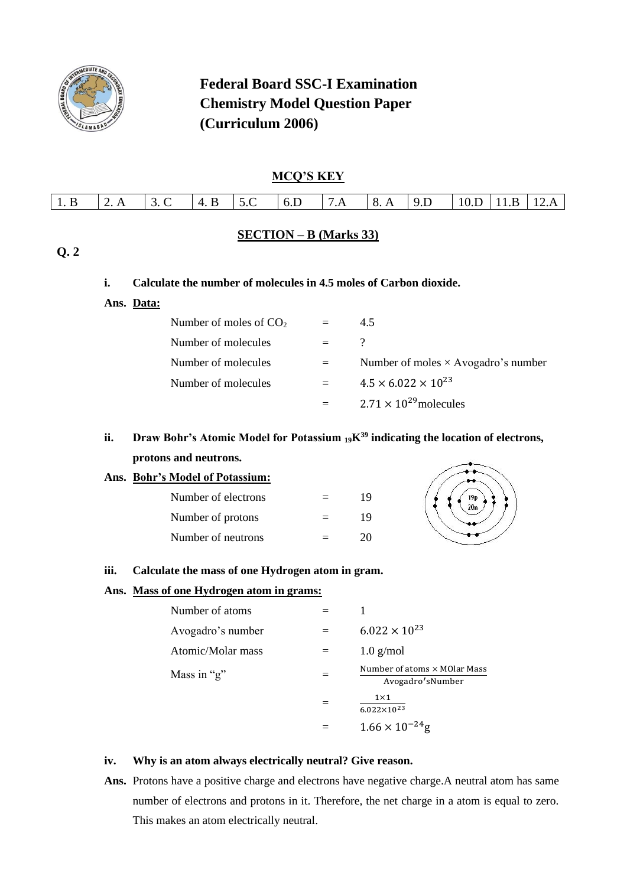

# **Federal Board SSC-I Examination Chemistry Model Question Paper (Curriculum 2006)**

## **MCQ'S KEY**

| $1\,R$ | $\mathcal{L}$ $\mathcal{L}$ | R<br>$\Delta$ | 5 $\Gamma$<br>$\sim$ | 6D<br>____ | 7A | $\mathcal{R}$<br>Δ<br>______ | 9D | 10.I<br>_____ | R | $12 \Delta$ |
|--------|-----------------------------|---------------|----------------------|------------|----|------------------------------|----|---------------|---|-------------|
|        |                             |               |                      |            |    |                              |    |               |   |             |

### **SECTION – B (Marks 33)**

## **Q. 2**

### **i. Calculate the number of molecules in 4.5 moles of Carbon dioxide.**

**Ans. Data:**

| Number of moles of $CO2$ |         | 4.5                                        |
|--------------------------|---------|--------------------------------------------|
| Number of molecules      | $=$ $-$ | $\cdot$                                    |
| Number of molecules      |         | Number of moles $\times$ Avogadro's number |
| Number of molecules      | $=$     | $4.5 \times 6.022 \times 10^{23}$          |
|                          |         | $2.71 \times 10^{29}$ molecules            |

# **ii. Draw Bohr's Atomic Model for Potassium 19K<sup>39</sup> indicating the location of electrons, protons and neutrons.**

### **Ans. Bohr's Model of Potassium:**

| Number of electrons | $=$ | 19 |
|---------------------|-----|----|
| Number of protons   | $=$ | 19 |
| Number of neutrons  |     | 20 |



#### **iii. Calculate the mass of one Hydrogen atom in gram.**

### **Ans. Mass of one Hydrogen atom in grams:**

| Number of atoms   |                                                          |
|-------------------|----------------------------------------------------------|
| Avogadro's number | $6.022 \times 10^{23}$                                   |
| Atomic/Molar mass | $1.0$ g/mol                                              |
| Mass in "g"       | Number of atoms $\times$ MOlar Mass<br>Avogadro's Number |
|                   | $1\times1$<br>$6.022\times10^{23}$                       |
|                   | $1.66 \times 10^{-24}$ g                                 |

#### **iv. Why is an atom always electrically neutral? Give reason.**

Ans. Protons have a positive charge and electrons have negative charge.A neutral atom has same number of electrons and protons in it. Therefore, the net charge in a atom is equal to zero. This makes an atom electrically neutral.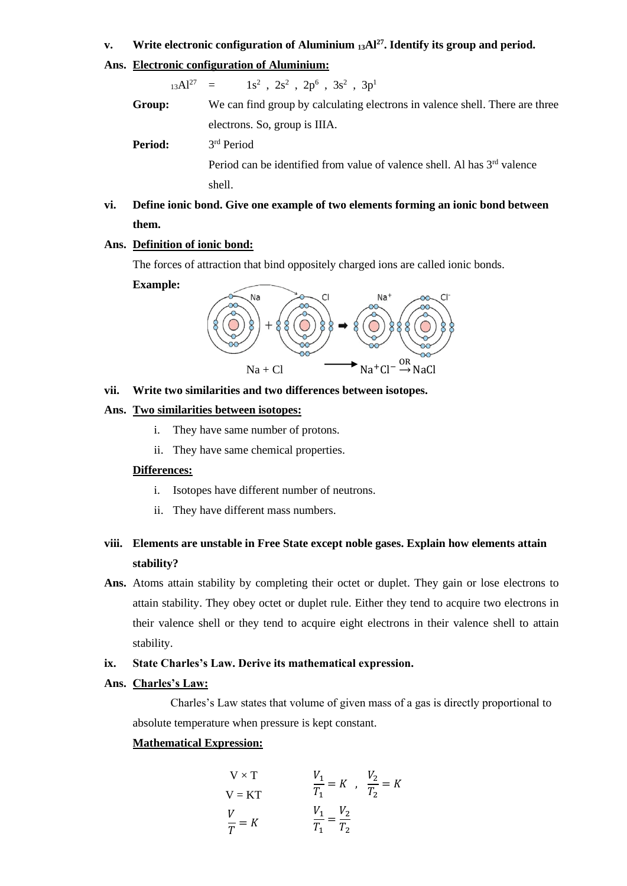#### **v. Write electronic configuration of Aluminium <sup>13</sup>Al<sup>27</sup>. Identify its group and period.**

#### **Ans. Electronic configuration of Aluminium:**

 $13Al^{27} =$  $, 2s^2$  ,  $2p^6$  ,  $3s^2$  ,  $3p^1$ 

| Group:         | We can find group by calculating electrons in valence shell. There are three         |
|----------------|--------------------------------------------------------------------------------------|
|                | electrons. So, group is IIIA.                                                        |
| <b>Period:</b> | 3 <sup>rd</sup> Period                                                               |
|                | Period can be identified from value of valence shell. Al has 3 <sup>rd</sup> valence |
|                | shell.                                                                               |

## **vi. Define ionic bond. Give one example of two elements forming an ionic bond between them.**

#### **Ans. Definition of ionic bond:**

The forces of attraction that bind oppositely charged ions are called ionic bonds.

#### **Example:**



#### **vii. Write two similarities and two differences between isotopes.**

### **Ans. Two similarities between isotopes:**

- i. They have same number of protons.
- ii. They have same chemical properties.

#### **Differences:**

- i. Isotopes have different number of neutrons.
- ii. They have different mass numbers.

## **viii. Elements are unstable in Free State except noble gases. Explain how elements attain stability?**

**Ans.** Atoms attain stability by completing their octet or duplet. They gain or lose electrons to attain stability. They obey octet or duplet rule. Either they tend to acquire two electrons in their valence shell or they tend to acquire eight electrons in their valence shell to attain stability.

### **ix. State Charles's Law. Derive its mathematical expression.**

#### **Ans. Charles's Law:**

Charles's Law states that volume of given mass of a gas is directly proportional to absolute temperature when pressure is kept constant.

## **Mathematical Expression:**

$$
V \times T
$$
  
\n
$$
V = KT
$$
  
\n
$$
\frac{V_1}{T_1} = K
$$
, 
$$
\frac{V_2}{T_2} = K
$$
  
\n
$$
\frac{V_1}{T_1} = \frac{V_2}{T_2}
$$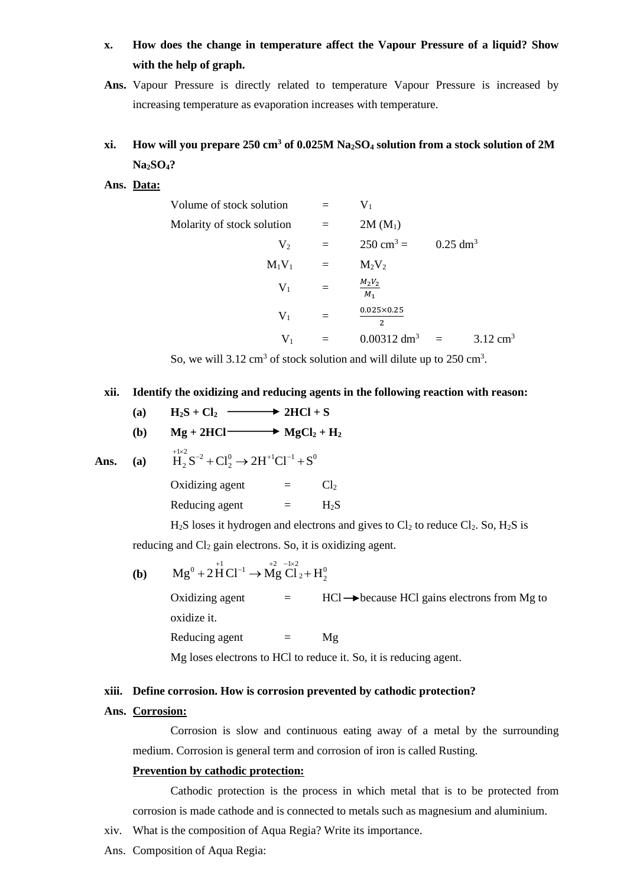- **x. How does the change in temperature affect the Vapour Pressure of a liquid? Show with the help of graph.**
- **Ans.** Vapour Pressure is directly related to temperature Vapour Pressure is increased by increasing temperature as evaporation increases with temperature.

## **xi. How will you prepare 250 cm<sup>3</sup> of 0.025M Na2SO<sup>4</sup> solution from a stock solution of 2M Na2SO4?**

#### **Ans. Data:**

| Volume of stock solution   | $=$ | $V_1$                                 |                     |                     |
|----------------------------|-----|---------------------------------------|---------------------|---------------------|
| Molarity of stock solution | $=$ | $2M(M_1)$                             |                     |                     |
| V <sub>2</sub>             | $=$ | $250 \text{ cm}^3 =$                  | $0.25 \text{ dm}^3$ |                     |
| $M_1V_1$                   | $=$ | $M_2V_2$                              |                     |                     |
| $V_1$                      | $=$ | $M_2V_2$<br>$M_1$                     |                     |                     |
| $V_1$                      | $=$ | $0.025 \times 0.25$<br>$\overline{2}$ |                     |                     |
| $V_1$                      |     | $0.00312 \text{ dm}^3$                | $\equiv$            | $3.12 \text{ cm}^3$ |

So, we will 3.12 cm<sup>3</sup> of stock solution and will dilute up to  $250 \text{ cm}^3$ .

#### **xii. Identify the oxidizing and reducing agents in the following reaction with reason:**

(a) 
$$
H_2S + Cl_2 \longrightarrow 2HCl + S
$$

(b) 
$$
Mg + 2HCl \longrightarrow MgCl_2 + H_2
$$

Ans. (a)

\n
$$
H_2 S^{-2} + C l_2^0 \rightarrow 2 H^{+1} C l^{-1} + S^0
$$
\nOxidizing agent

\n
$$
= C l_2
$$
\nReducing agent

\n
$$
= H_2 S
$$

 $H<sub>2</sub>S$  loses it hydrogen and electrons and gives to  $Cl<sub>2</sub>$  to reduce  $Cl<sub>2</sub>$ . So,  $H<sub>2</sub>S$  is

reducing and  $Cl<sub>2</sub>$  gain electrons. So, it is oxidizing agent.

**(b)** 
$$
Mg^{0} + 2H^{1}Cl^{-1} \rightarrow Mg^{+2}Cl_{2} + H_{2}^{0}
$$

Oxidizing agent  $=$  HCl  $\rightarrow$  because HCl gains electrons from Mg to oxidize it. Reducing agent  $=$  Mg

Mg loses electrons to HCl to reduce it. So, it is reducing agent.

#### **xiii. Define corrosion. How is corrosion prevented by cathodic protection?**

#### **Ans. Corrosion:**

Corrosion is slow and continuous eating away of a metal by the surrounding medium. Corrosion is general term and corrosion of iron is called Rusting.

#### **Prevention by cathodic protection:**

Cathodic protection is the process in which metal that is to be protected from corrosion is made cathode and is connected to metals such as magnesium and aluminium.

- xiv. What is the composition of Aqua Regia? Write its importance.
- Ans. Composition of Aqua Regia: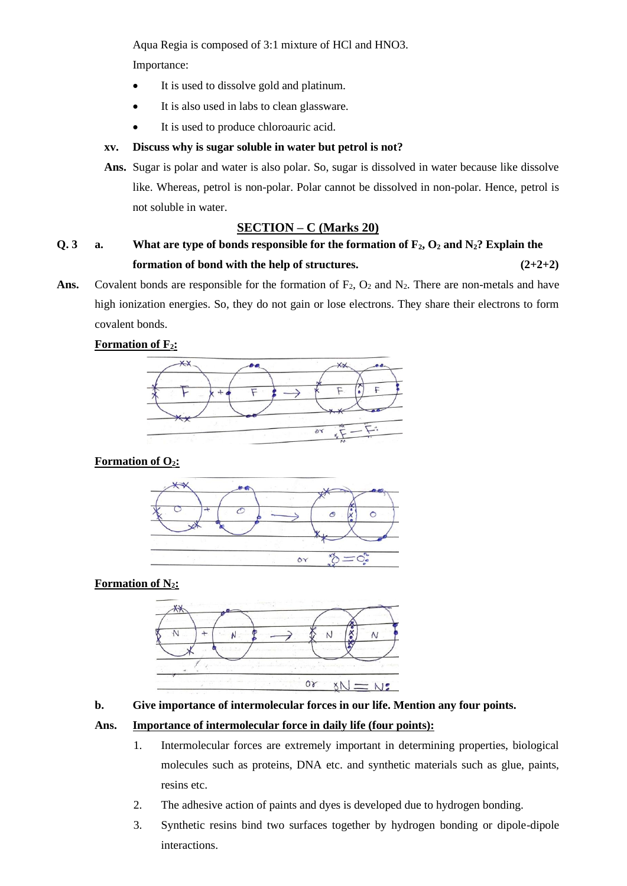Aqua Regia is composed of 3:1 mixture of HCl and HNO3.

Importance:

- It is used to dissolve gold and platinum.
- It is also used in labs to clean glassware.
- It is used to produce chloroauric acid.

## **xv. Discuss why is sugar soluble in water but petrol is not?**

**Ans.** Sugar is polar and water is also polar. So, sugar is dissolved in water because like dissolve like. Whereas, petrol is non-polar. Polar cannot be dissolved in non-polar. Hence, petrol is not soluble in water.

## **SECTION – C (Marks 20)**

# **Q. 3 a. What are type of bonds responsible for the formation of F2, O<sup>2</sup> and N2? Explain the formation of bond with the help of structures. (2+2+2)**

Ans. Covalent bonds are responsible for the formation of  $F_2$ ,  $O_2$  and  $N_2$ . There are non-metals and have high ionization energies. So, they do not gain or lose electrons. They share their electrons to form covalent bonds.

## **Formation of F2:**



## **Formation of O2:**



## **Formation of N2:**



## **b. Give importance of intermolecular forces in our life. Mention any four points.**

### **Ans. Importance of intermolecular force in daily life (four points):**

- 1. Intermolecular forces are extremely important in determining properties, biological molecules such as proteins, DNA etc. and synthetic materials such as glue, paints, resins etc.
- 2. The adhesive action of paints and dyes is developed due to hydrogen bonding.
- 3. Synthetic resins bind two surfaces together by hydrogen bonding or dipole-dipole interactions.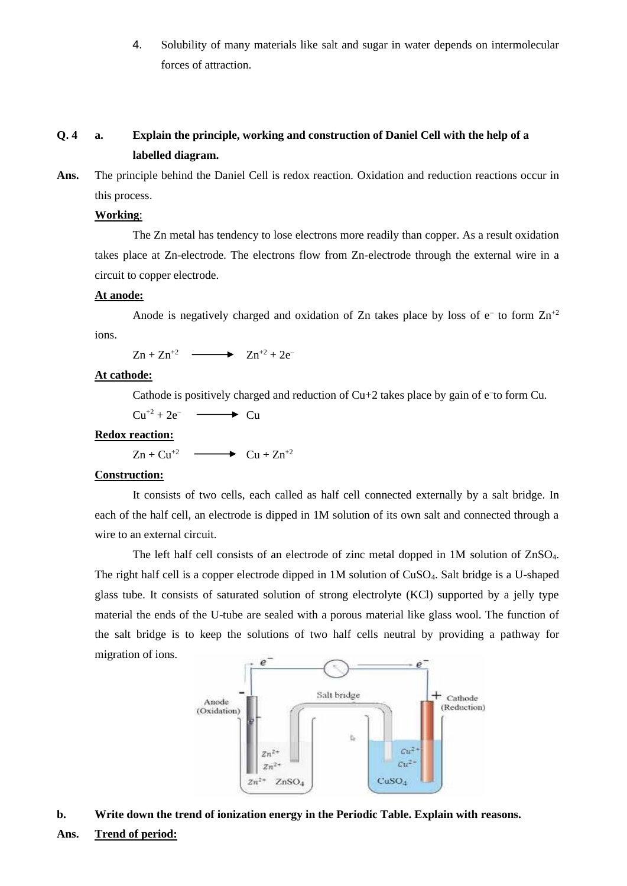4. Solubility of many materials like salt and sugar in water depends on intermolecular forces of attraction.

## **Q. 4 a. Explain the principle, working and construction of Daniel Cell with the help of a labelled diagram.**

**Ans.** The principle behind the Daniel Cell is redox reaction. Oxidation and reduction reactions occur in this process.

#### **Working**:

The Zn metal has tendency to lose electrons more readily than copper. As a result oxidation takes place at Zn-electrode. The electrons flow from Zn-electrode through the external wire in a circuit to copper electrode.

### **At anode:**

Anode is negatively charged and oxidation of Zn takes place by loss of  $e^-$  to form  $Zn^{2}$ ions.

 $Z_n + Z_n^{2} \longrightarrow Z_n^{2} + 2e^{-}$ 

#### **At cathode:**

Cathode is positively charged and reduction of Cu+2 takes place by gain of e<sup>-to</sup> form Cu.

 $Cu^{+2} + 2e^ \longrightarrow$  Cu

#### **Redox reaction:**

 $\mathbb{Z}n + \mathbb{C}u^{2} \longrightarrow \mathbb{C}u + \mathbb{Z}n^{2}$ 

#### **Construction:**

It consists of two cells, each called as half cell connected externally by a salt bridge. In each of the half cell, an electrode is dipped in 1M solution of its own salt and connected through a wire to an external circuit.

The left half cell consists of an electrode of zinc metal dopped in 1M solution of ZnSO4. The right half cell is a copper electrode dipped in 1M solution of CuSO4. Salt bridge is a U-shaped glass tube. It consists of saturated solution of strong electrolyte (KCl) supported by a jelly type material the ends of the U-tube are sealed with a porous material like glass wool. The function of the salt bridge is to keep the solutions of two half cells neutral by providing a pathway for migration of ions.



#### **b. Write down the trend of ionization energy in the Periodic Table. Explain with reasons.**

### **Ans. Trend of period:**